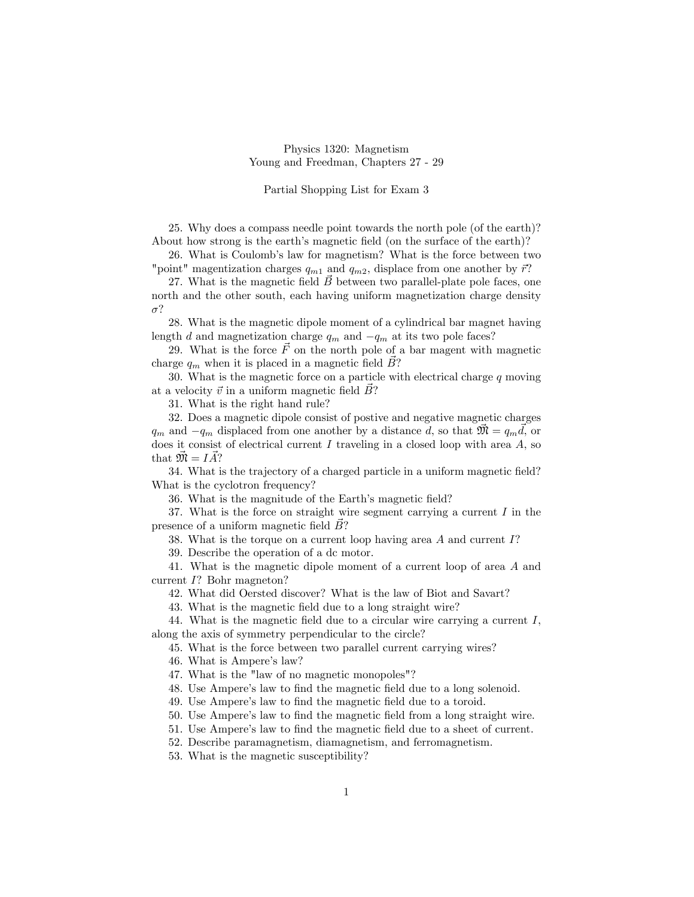## Physics 1320: Magnetism Young and Freedman, Chapters 27 - 29

## Partial Shopping List for Exam 3

25. Why does a compass needle point towards the north pole (of the earth)? About how strong is the earth's magnetic field (on the surface of the earth)?

26. What is Coulomb's law for magnetism? What is the force between two "point" magentization charges  $q_{m1}$  and  $q_{m2}$ , displace from one another by  $\vec{r}$ ?

27. What is the magnetic field  $\vec{B}$  between two parallel-plate pole faces, one north and the other south, each having uniform magnetization charge density  $\sigma$ ?

28. What is the magnetic dipole moment of a cylindrical bar magnet having length d and magnetization charge  $q_m$  and  $-q_m$  at its two pole faces?

29. What is the force  $\vec{F}$  on the north pole of a bar magent with magnetic charge  $q_m$  when it is placed in a magnetic field  $\hat{B}$ ?

30. What is the magnetic force on a particle with electrical charge  $q$  moving at a velocity  $\vec{v}$  in a uniform magnetic field  $\vec{B}$ ?

31. What is the right hand rule?

32. Does a magnetic dipole consist of postive and negative magnetic charges  $q_m$  and  $-q_m$  displaced from one another by a distance d, so that  $\vec{m} = q_m \vec{d}$ , or does it consist of electrical current I traveling in a closed loop with area  $A$ , so that  $\mathfrak{M} = IA?$ 

34. What is the trajectory of a charged particle in a uniform magnetic Öeld? What is the cyclotron frequency?

36. What is the magnitude of the Earth's magnetic field?

37. What is the force on straight wire segment carrying a current  $I$  in the presence of a uniform magnetic field  $\overline{B}$ ?

38. What is the torque on a current loop having area A and current I?

39. Describe the operation of a dc motor.

41. What is the magnetic dipole moment of a current loop of area A and current I? Bohr magneton?

42. What did Oersted discover? What is the law of Biot and Savart?

43. What is the magnetic field due to a long straight wire?

44. What is the magnetic field due to a circular wire carrying a current  $I$ , along the axis of symmetry perpendicular to the circle?

45. What is the force between two parallel current carrying wires?

46. What is Ampere's law?

47. What is the "law of no magnetic monopoles"?

48. Use Ampere's law to find the magnetic field due to a long solenoid.

49. Use Ampere's law to find the magnetic field due to a toroid.

50. Use Ampere's law to find the magnetic field from a long straight wire.

51. Use Ampere's law to find the magnetic field due to a sheet of current.

52. Describe paramagnetism, diamagnetism, and ferromagnetism.

53. What is the magnetic susceptibility?